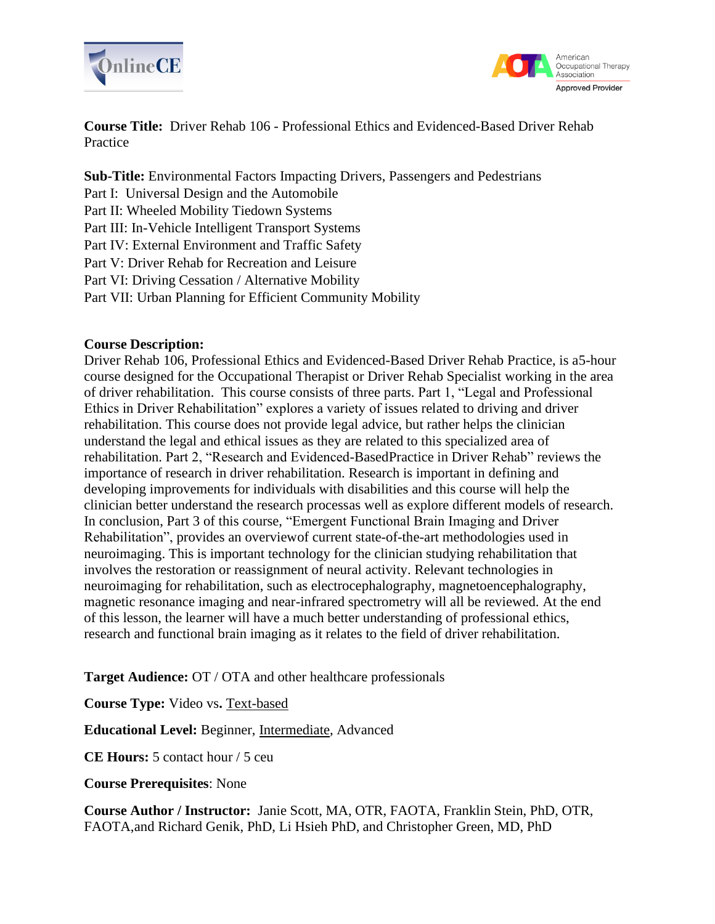



**Course Title:** Driver Rehab 106 - Professional Ethics and Evidenced-Based Driver Rehab Practice

**Sub-Title:** Environmental Factors Impacting Drivers, Passengers and Pedestrians

Part I: Universal Design and the Automobile

Part II: Wheeled Mobility Tiedown Systems

Part III: In-Vehicle Intelligent Transport Systems

Part IV: External Environment and Traffic Safety

Part V: Driver Rehab for Recreation and Leisure

Part VI: Driving Cessation / Alternative Mobility

Part VII: Urban Planning for Efficient Community Mobility

# **Course Description:**

Driver Rehab 106, Professional Ethics and Evidenced-Based Driver Rehab Practice, is a5-hour course designed for the Occupational Therapist or Driver Rehab Specialist working in the area of driver rehabilitation. This course consists of three parts. Part 1, "Legal and Professional Ethics in Driver Rehabilitation" explores a variety of issues related to driving and driver rehabilitation. This course does not provide legal advice, but rather helps the clinician understand the legal and ethical issues as they are related to this specialized area of rehabilitation. Part 2, "Research and Evidenced-BasedPractice in Driver Rehab" reviews the importance of research in driver rehabilitation. Research is important in defining and developing improvements for individuals with disabilities and this course will help the clinician better understand the research processas well as explore different models of research. In conclusion, Part 3 of this course, "Emergent Functional Brain Imaging and Driver Rehabilitation", provides an overviewof current state-of-the-art methodologies used in neuroimaging. This is important technology for the clinician studying rehabilitation that involves the restoration or reassignment of neural activity. Relevant technologies in neuroimaging for rehabilitation, such as electrocephalography, magnetoencephalography, magnetic resonance imaging and near-infrared spectrometry will all be reviewed. At the end of this lesson, the learner will have a much better understanding of professional ethics, research and functional brain imaging as it relates to the field of driver rehabilitation.

**Target Audience:** OT / OTA and other healthcare professionals

**Course Type:** Video vs**.** Text-based

**Educational Level:** Beginner, Intermediate, Advanced

**CE Hours:** 5 contact hour / 5 ceu

**Course Prerequisites**: None

**Course Author / Instructor:** Janie Scott, MA, OTR, FAOTA, Franklin Stein, PhD, OTR, FAOTA,and Richard Genik, PhD, Li Hsieh PhD, and Christopher Green, MD, PhD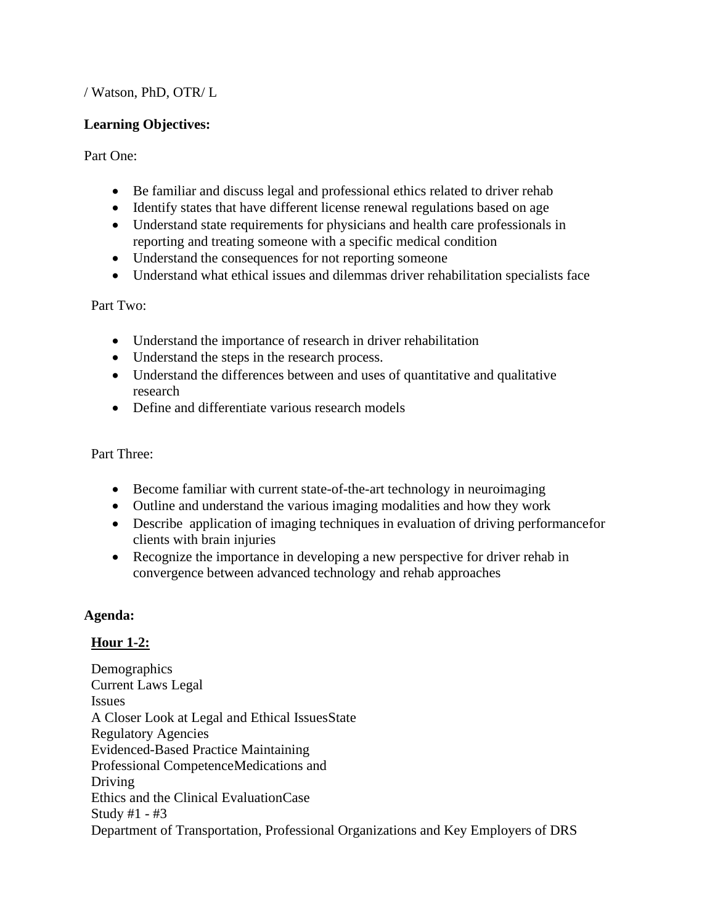# / Watson, PhD, OTR/ L

#### **Learning Objectives:**

Part One:

- Be familiar and discuss legal and professional ethics related to driver rehab
- Identify states that have different license renewal regulations based on age
- Understand state requirements for physicians and health care professionals in reporting and treating someone with a specific medical condition
- Understand the consequences for not reporting someone
- Understand what ethical issues and dilemmas driver rehabilitation specialists face

Part Two:

- Understand the importance of research in driver rehabilitation
- Understand the steps in the research process.
- Understand the differences between and uses of quantitative and qualitative research
- Define and differentiate various research models

Part Three:

- Become familiar with current state-of-the-art technology in neuroimaging
- Outline and understand the various imaging modalities and how they work
- Describe application of imaging techniques in evaluation of driving performancefor clients with brain injuries
- Recognize the importance in developing a new perspective for driver rehab in convergence between advanced technology and rehab approaches

# **Agenda:**

# **Hour 1-2:**

Demographics Current Laws Legal Issues A Closer Look at Legal and Ethical IssuesState Regulatory Agencies Evidenced-Based Practice Maintaining Professional CompetenceMedications and Driving Ethics and the Clinical EvaluationCase Study #1 - #3 Department of Transportation, Professional Organizations and Key Employers of DRS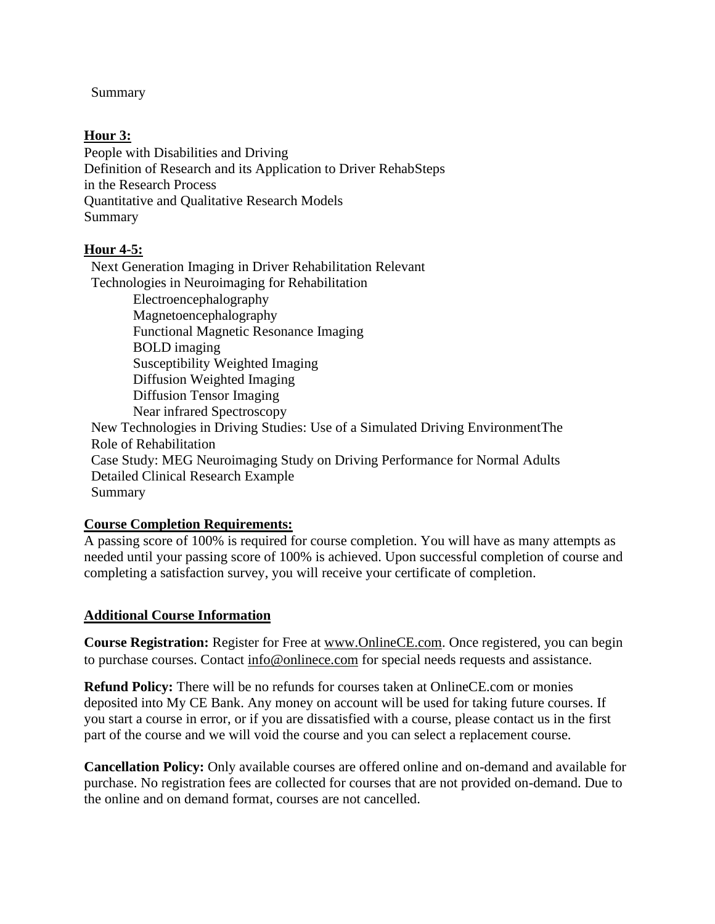Summary

#### **Hour 3:**

People with Disabilities and Driving Definition of Research and its Application to Driver RehabSteps in the Research Process Quantitative and Qualitative Research Models Summary

# **Hour 4-5:**

Next Generation Imaging in Driver Rehabilitation Relevant Technologies in Neuroimaging for Rehabilitation Electroencephalography Magnetoencephalography Functional Magnetic Resonance Imaging BOLD imaging Susceptibility Weighted Imaging Diffusion Weighted Imaging Diffusion Tensor Imaging Near infrared Spectroscopy New Technologies in Driving Studies: Use of a Simulated Driving EnvironmentThe Role of Rehabilitation Case Study: MEG Neuroimaging Study on Driving Performance for Normal Adults Detailed Clinical Research Example Summary

# **Course Completion Requirements:**

A passing score of 100% is required for course completion. You will have as many attempts as needed until your passing score of 100% is achieved. Upon successful completion of course and completing a satisfaction survey, you will receive your certificate of completion.

#### **Additional Course Information**

**Course Registration:** Register for Free at [www.OnlineCE.com.](http://www.onlinece.com/) Once registered, you can begin to purchase courses. Contact [info@onlinece.com](mailto:info@onlinece.com) for special needs requests and assistance.

**Refund Policy:** There will be no refunds for courses taken at OnlineCE.com or monies deposited into My CE Bank. Any money on account will be used for taking future courses. If you start a course in error, or if you are dissatisfied with a course, please contact us in the first part of the course and we will void the course and you can select a replacement course.

**Cancellation Policy:** Only available courses are offered online and on-demand and available for purchase. No registration fees are collected for courses that are not provided on-demand. Due to the online and on demand format, courses are not cancelled.